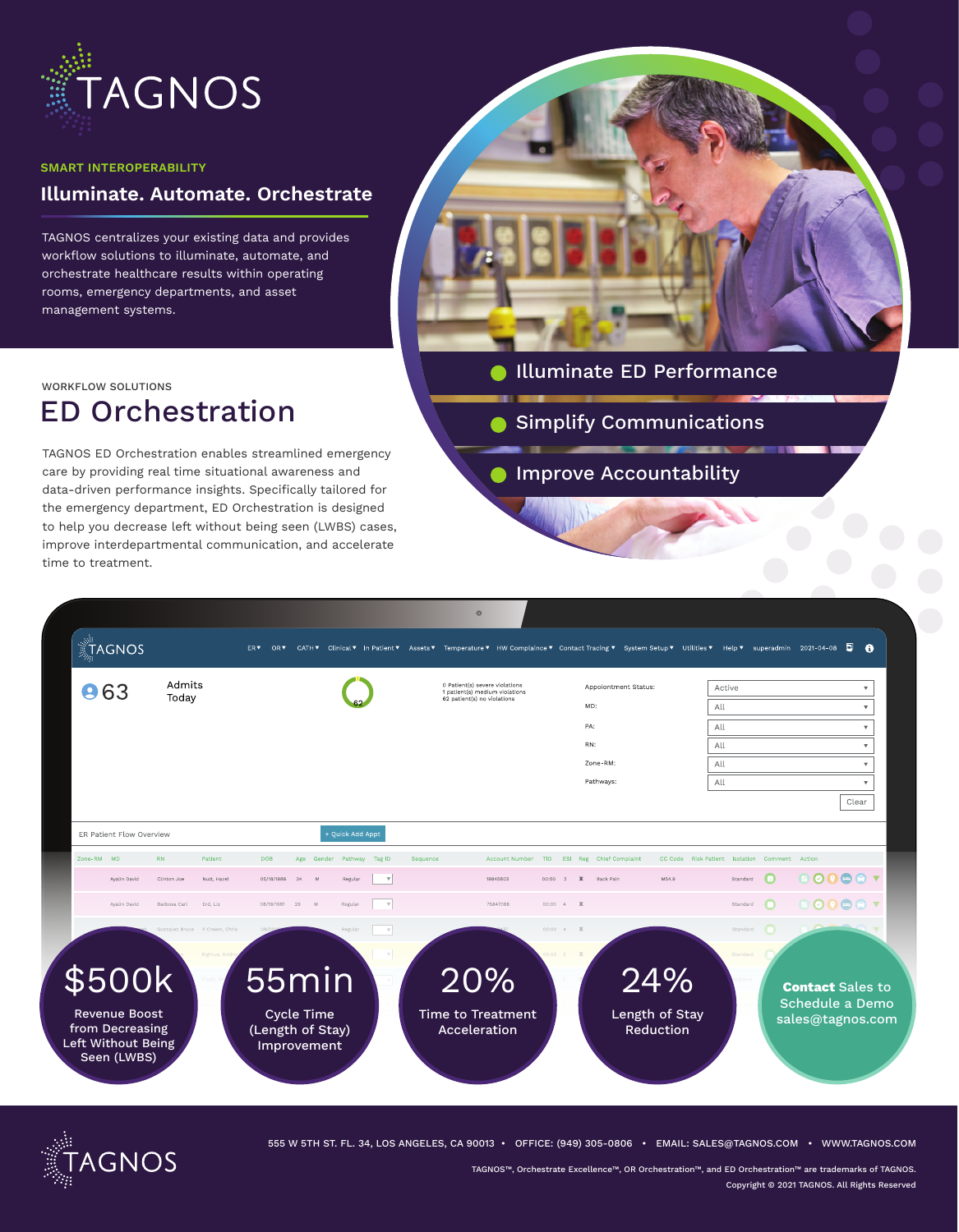

#### **SMART INTEROPERABILITY**

WORKFLOW SOLUTIONS

## **Illuminate. Automate. Orchestrate**

TAGNOS centralizes your existing data and provides workflow solutions to illuminate, automate, and orchestrate healthcare results within operating rooms, emergency departments, and asset management systems.



Illuminate ED Performance

**Simplify Communications** 

ED Orchestration

TAGNOS ED Orchestration enables streamlined emergency care by providing real time situational awareness and data-driven performance insights. Specifically tailored for the emergency department, ED Orchestration is designed to help you decrease left without being seen (LWBS) cases, improve interdepartmental communication, and accelerate time to treatment.

**Improve Accountability** 

| 863                      | Admits<br>Today               |                                                               | 0 Patient(s) severe violations<br>1 patient(s) medium violations<br>62 patient(s) no violations | Appoiontment Status:                        | Active                                        |                                            |
|--------------------------|-------------------------------|---------------------------------------------------------------|-------------------------------------------------------------------------------------------------|---------------------------------------------|-----------------------------------------------|--------------------------------------------|
|                          |                               |                                                               |                                                                                                 | MD:                                         | All<br>All                                    |                                            |
|                          |                               |                                                               |                                                                                                 | PA:<br>RN:<br>Zone-RM:<br>Pathways:         |                                               |                                            |
|                          |                               |                                                               |                                                                                                 |                                             | All                                           |                                            |
|                          |                               |                                                               |                                                                                                 |                                             | All                                           |                                            |
|                          |                               |                                                               |                                                                                                 |                                             | All                                           |                                            |
|                          |                               |                                                               |                                                                                                 |                                             |                                               | Clear                                      |
| ER Patient Flow Overview |                               | + Quick Add Appt                                              |                                                                                                 |                                             |                                               |                                            |
| Zone-RM MD               | <b>RN</b><br>Patient          | DOB<br>Tag ID<br>Age Gender Pathway                           | Sequence<br>Account Number                                                                      | TID ESI Reg Chief Complaint                 | CC Code Risk Patient Isolation Comment Action |                                            |
| Ayalin David             | Clinton Joe<br>Nutt, Hazel    | $\mathbf{\nabla}$<br>05/18/1986 34<br>$\mathbb{R}$<br>Regular | 19845803                                                                                        | M54.9<br>Back Pain<br>$00:00 \t 2$ <b>X</b> | Standard                                      | <b>BOORS</b> V                             |
| Avalin David             | Barbosa Carl<br>Erd, Liz      | $\quad$ $\forall$<br>08/19/1991 29<br>M<br>Regular            | 75847068<br>$00:00 - 4$                                                                         | $\mathbf x$                                 | Standard                                      | <b>BOODET</b>                              |
|                          | Gonzalez Bruce P Creem, Chris | Regular<br>$\mathbf{v}$                                       | $00:00 - 4$                                                                                     |                                             | Standard                                      |                                            |
|                          |                               |                                                               |                                                                                                 |                                             |                                               |                                            |
| \$500k                   |                               | 55min                                                         | 20%                                                                                             | 24%                                         |                                               |                                            |
|                          |                               |                                                               |                                                                                                 |                                             |                                               | <b>Contact Sales to</b><br>Schedule a Demo |
| <b>Revenue Boost</b>     |                               | <b>Cycle Time</b>                                             | <b>Time to Treatment</b>                                                                        | Length of Stay                              | sales@tagnos.com                              |                                            |



555 W 5TH ST. FL. 34, LOS ANGELES, CA 90013 • OFFICE: (949) 305-0806 • EMAIL: SALES@TAGNOS.COM • WWW.TAGNOS.COM

TAGNOS™, Orchestrate Excellence™, OR Orchestration™, and ED Orchestration™ are trademarks of TAGNOS. Copyright © 2021 TAGNOS. All Rights Reserved